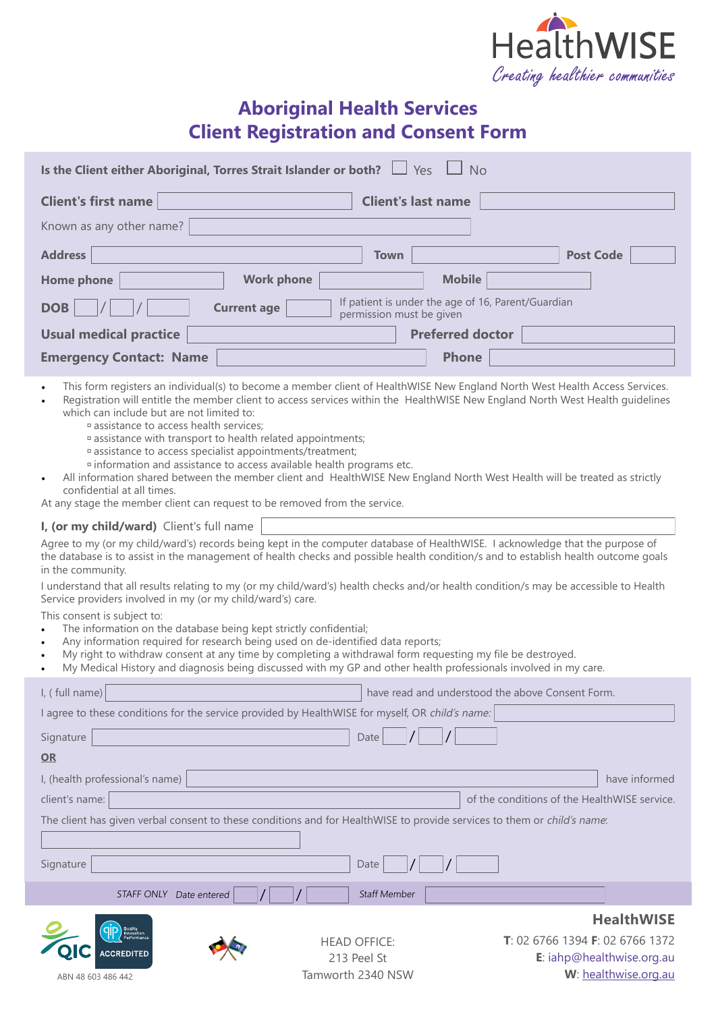

## **Aboriginal Health Services Client Registration and Consent Form**

| Is the Client either Aboriginal, Torres Strait Islander or both? $\Box$ Yes                                                                                                                                                                                                                                                                                                                                                                                                                                                                                                                                                                                 |                                                                                                                                                                                                   |                                                                                | <b>No</b>               |                                                                                                                               |
|-------------------------------------------------------------------------------------------------------------------------------------------------------------------------------------------------------------------------------------------------------------------------------------------------------------------------------------------------------------------------------------------------------------------------------------------------------------------------------------------------------------------------------------------------------------------------------------------------------------------------------------------------------------|---------------------------------------------------------------------------------------------------------------------------------------------------------------------------------------------------|--------------------------------------------------------------------------------|-------------------------|-------------------------------------------------------------------------------------------------------------------------------|
| <b>Client's first name</b>                                                                                                                                                                                                                                                                                                                                                                                                                                                                                                                                                                                                                                  |                                                                                                                                                                                                   | <b>Client's last name</b>                                                      |                         |                                                                                                                               |
| Known as any other name?                                                                                                                                                                                                                                                                                                                                                                                                                                                                                                                                                                                                                                    |                                                                                                                                                                                                   |                                                                                |                         |                                                                                                                               |
| <b>Address</b>                                                                                                                                                                                                                                                                                                                                                                                                                                                                                                                                                                                                                                              |                                                                                                                                                                                                   | <b>Town</b>                                                                    |                         | <b>Post Code</b>                                                                                                              |
| <b>Home phone</b>                                                                                                                                                                                                                                                                                                                                                                                                                                                                                                                                                                                                                                           | <b>Work phone</b>                                                                                                                                                                                 |                                                                                | <b>Mobile</b>           |                                                                                                                               |
| <b>DOB</b>                                                                                                                                                                                                                                                                                                                                                                                                                                                                                                                                                                                                                                                  | <b>Current age</b>                                                                                                                                                                                | If patient is under the age of 16, Parent/Guardian<br>permission must be given |                         |                                                                                                                               |
| <b>Usual medical practice</b>                                                                                                                                                                                                                                                                                                                                                                                                                                                                                                                                                                                                                               |                                                                                                                                                                                                   |                                                                                | <b>Preferred doctor</b> |                                                                                                                               |
| <b>Emergency Contact: Name</b>                                                                                                                                                                                                                                                                                                                                                                                                                                                                                                                                                                                                                              |                                                                                                                                                                                                   |                                                                                | <b>Phone</b>            |                                                                                                                               |
| which can include but are not limited to:<br>assistance to access health services;<br>All information shared between the member client and HealthWISE New England North West Health will be treated as strictly<br>$\bullet$<br>confidential at all times.<br>At any stage the member client can request to be removed from the service.<br>I, (or my child/ward) Client's full name<br>Agree to my (or my child/ward's) records being kept in the computer database of HealthWISE. I acknowledge that the purpose of<br>the database is to assist in the management of health checks and possible health condition/s and to establish health outcome goals | ¤ assistance with transport to health related appointments;<br>¤ assistance to access specialist appointments/treatment;<br>¤ information and assistance to access available health programs etc. |                                                                                |                         | Registration will entitle the member client to access services within the HealthWISE New England North West Health guidelines |
| in the community.                                                                                                                                                                                                                                                                                                                                                                                                                                                                                                                                                                                                                                           |                                                                                                                                                                                                   |                                                                                |                         |                                                                                                                               |
| I understand that all results relating to my (or my child/ward's) health checks and/or health condition/s may be accessible to Health<br>Service providers involved in my (or my child/ward's) care.                                                                                                                                                                                                                                                                                                                                                                                                                                                        |                                                                                                                                                                                                   |                                                                                |                         |                                                                                                                               |
| This consent is subject to:<br>The information on the database being kept strictly confidential;<br>$\bullet$<br>Any information required for research being used on de-identified data reports;<br>$\bullet$<br>My right to withdraw consent at any time by completing a withdrawal form requesting my file be destroyed.<br>$\bullet$<br>My Medical History and diagnosis being discussed with my GP and other health professionals involved in my care.<br>$\bullet$                                                                                                                                                                                     |                                                                                                                                                                                                   |                                                                                |                         |                                                                                                                               |
| I, (full name)                                                                                                                                                                                                                                                                                                                                                                                                                                                                                                                                                                                                                                              |                                                                                                                                                                                                   |                                                                                |                         | have read and understood the above Consent Form.                                                                              |
| I agree to these conditions for the service provided by HealthWISE for myself, OR child's name:                                                                                                                                                                                                                                                                                                                                                                                                                                                                                                                                                             |                                                                                                                                                                                                   |                                                                                |                         |                                                                                                                               |
| Signature                                                                                                                                                                                                                                                                                                                                                                                                                                                                                                                                                                                                                                                   |                                                                                                                                                                                                   | Date                                                                           |                         |                                                                                                                               |
| $OR$                                                                                                                                                                                                                                                                                                                                                                                                                                                                                                                                                                                                                                                        |                                                                                                                                                                                                   |                                                                                |                         |                                                                                                                               |
| I, (health professional's name)                                                                                                                                                                                                                                                                                                                                                                                                                                                                                                                                                                                                                             |                                                                                                                                                                                                   |                                                                                |                         | have informed                                                                                                                 |
| client's name:                                                                                                                                                                                                                                                                                                                                                                                                                                                                                                                                                                                                                                              |                                                                                                                                                                                                   |                                                                                |                         | of the conditions of the HealthWISE service.                                                                                  |
| The client has given verbal consent to these conditions and for HealthWISE to provide services to them or child's name:                                                                                                                                                                                                                                                                                                                                                                                                                                                                                                                                     |                                                                                                                                                                                                   |                                                                                |                         |                                                                                                                               |
| Signature                                                                                                                                                                                                                                                                                                                                                                                                                                                                                                                                                                                                                                                   |                                                                                                                                                                                                   | Date                                                                           |                         |                                                                                                                               |
| STAFF ONLY Date entered                                                                                                                                                                                                                                                                                                                                                                                                                                                                                                                                                                                                                                     |                                                                                                                                                                                                   | Staff Member                                                                   |                         |                                                                                                                               |
|                                                                                                                                                                                                                                                                                                                                                                                                                                                                                                                                                                                                                                                             |                                                                                                                                                                                                   |                                                                                |                         | <b>HealthWISE</b>                                                                                                             |
|                                                                                                                                                                                                                                                                                                                                                                                                                                                                                                                                                                                                                                                             |                                                                                                                                                                                                   | <b>HEAD OFFICE:</b>                                                            |                         | T: 02 6766 1394 F: 02 6766 1372                                                                                               |
| <b>ACCREDITED</b>                                                                                                                                                                                                                                                                                                                                                                                                                                                                                                                                                                                                                                           |                                                                                                                                                                                                   | 213 Peel St                                                                    |                         | E: iahp@healthwise.org.au<br>W: healthwise.org.au                                                                             |
| ABN 48 603 486 442                                                                                                                                                                                                                                                                                                                                                                                                                                                                                                                                                                                                                                          |                                                                                                                                                                                                   | Tamworth 2340 NSW                                                              |                         |                                                                                                                               |